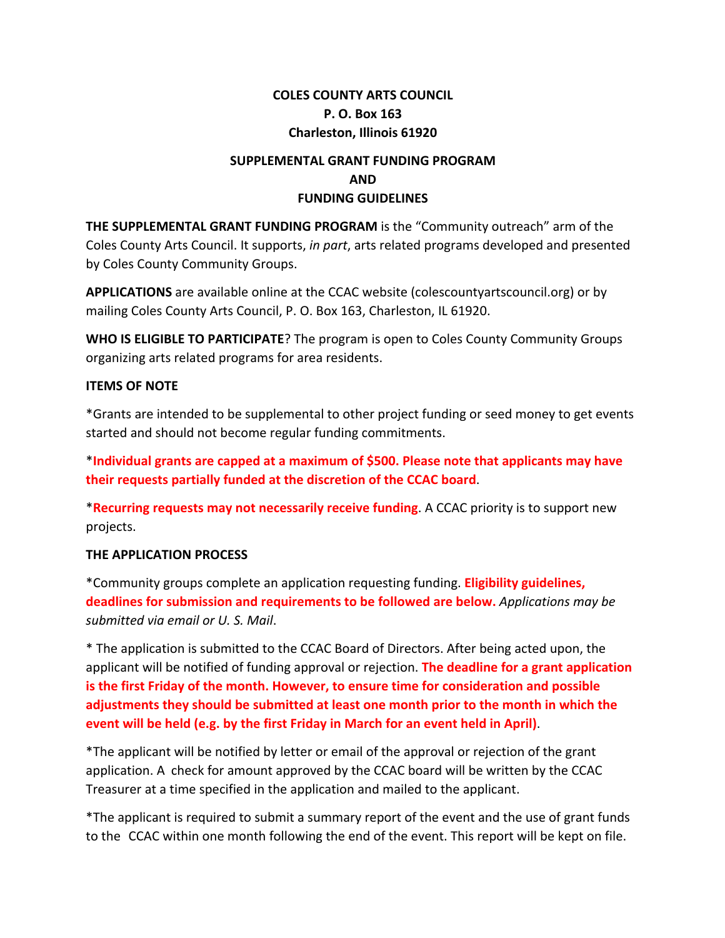# **COLES COUNTY ARTS COUNCIL P. O. Box 163 Charleston, Illinois 61920**

# **SUPPLEMENTAL GRANT FUNDING PROGRAM AND FUNDING GUIDELINES**

**THE SUPPLEMENTAL GRANT FUNDING PROGRAM** is the "Community outreach" arm of the Coles County Arts Council. It supports, *in part*, arts related programs developed and presented by Coles County Community Groups.

**APPLICATIONS** are available online at the CCAC website (colescountyartscouncil.org) or by mailing Coles County Arts Council, P. O. Box 163, Charleston, IL 61920.

**WHO IS ELIGIBLE TO PARTICIPATE**? The program is open to Coles County Community Groups organizing arts related programs for area residents.

### **ITEMS OF NOTE**

\*Grants are intended to be supplemental to other project funding or seed money to get events started and should not become regular funding commitments.

\***Individual grants are capped at a maximum of \$500. Please note that applicants may have their requests partially funded at the discretion of the CCAC board**.

\***Recurring requests may not necessarily receive funding**. A CCAC priority is to support new projects.

## **THE APPLICATION PROCESS**

\*Community groups complete an application requesting funding. **Eligibility guidelines, deadlines for submission and requirements to be followed are below.** *Applications may be submitted via email or U. S. Mail*.

\* The application is submitted to the CCAC Board of Directors. After being acted upon, the applicant will be notified of funding approval or rejection. **The deadline for a grant application is the first Friday of the month. However, to ensure time for consideration and possible adjustments they should be submitted at least one month prior to the month in which the event will be held (e.g. by the first Friday in March for an event held in April)**.

\*The applicant will be notified by letter or email of the approval or rejection of the grant application. A check for amount approved by the CCAC board will be written by the CCAC Treasurer at a time specified in the application and mailed to the applicant.

\*The applicant is required to submit a summary report of the event and the use of grant funds to the CCAC within one month following the end of the event. This report will be kept on file.